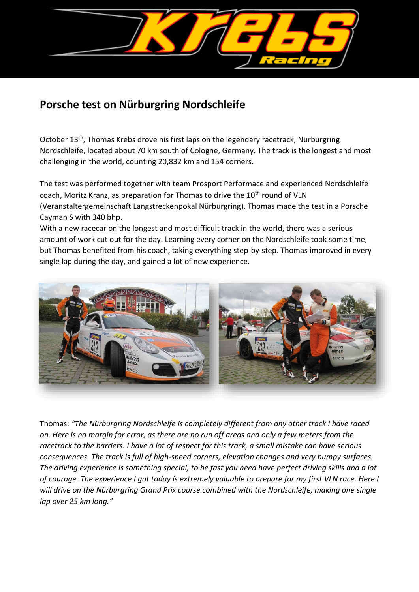

## **Porsche test on Nürburgring Nordschleife**

October 13<sup>th</sup>, Thomas Krebs drove his first laps on the legendary racetrack, Nürburgring Nordschleife, located about 70 km south of Cologne, Germany. The track is the longest and most challenging in the world, counting 20,832 km and 154 corners.

The test was performed together with team Prosport Performace and experienced Nordschleife coach, Moritz Kranz, as preparation for Thomas to drive the 10<sup>th</sup> round of VLN (Veranstaltergemeinschaft Langstreckenpokal Nürburgring). Thomas made the test in a Porsche Cayman S with 340 bhp.

With a new racecar on the longest and most difficult track in the world, there was a serious amount of work cut out for the day. Learning every corner on the Nordschleife took some time, but Thomas benefited from his coach, taking everything step-by-step. Thomas improved in every single lap during the day, and gained a lot of new experience.



Thomas: *"The Nürburgring Nordschleife is completely different from any other track I have raced on. Here is no margin for error, as there are no run off areas and only a few meters from the racetrack to the barriers. I have a lot of respect for this track, a small mistake can have serious consequences. The track is full of high-speed corners, elevation changes and very bumpy surfaces. The driving experience is something special, to be fast you need have perfect driving skills and a lot of courage. The experience I got today is extremely valuable to prepare for my first VLN race. Here I will drive on the Nürburgring Grand Prix course combined with the Nordschleife, making one single lap over 25 km long."*